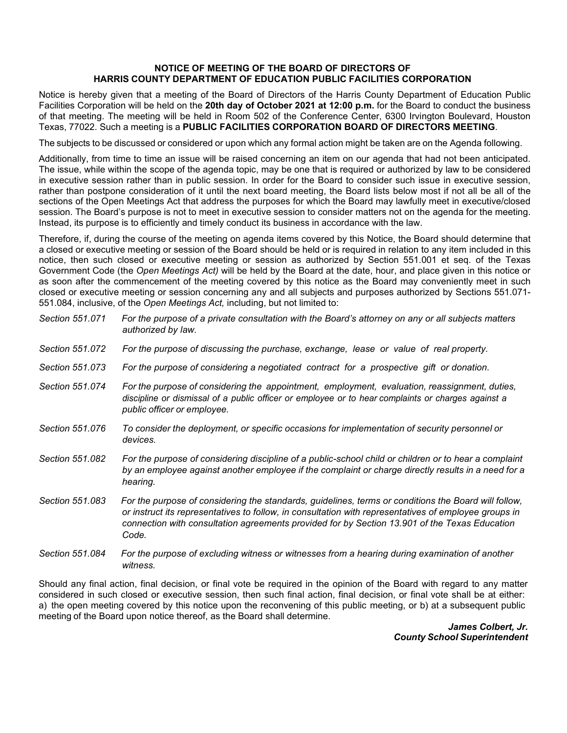## **NOTICE OF MEETING OF THE BOARD OF DIRECTORS OF HARRIS COUNTY DEPARTMENT OF EDUCATION PUBLIC FACILITIES CORPORATION**

Notice is hereby given that a meeting of the Board of Directors of the Harris County Department of Education Public Facilities Corporation will be held on the **20th day of October 2021 at 12:00 p.m.** for the Board to conduct the business of that meeting. The meeting will be held in Room 502 of the Conference Center, 6300 Irvington Boulevard, Houston Texas, 77022. Such a meeting is a **PUBLIC FACILITIES CORPORATION BOARD OF DIRECTORS MEETING**.

The subjects to be discussed or considered or upon which any formal action might be taken are on the Agenda following.

Additionally, from time to time an issue will be raised concerning an item on our agenda that had not been anticipated. The issue, while within the scope of the agenda topic, may be one that is required or authorized by law to be considered in executive session rather than in public session. In order for the Board to consider such issue in executive session, rather than postpone consideration of it until the next board meeting, the Board lists below most if not all be all of the sections of the Open Meetings Act that address the purposes for which the Board may lawfully meet in executive/closed session. The Board's purpose is not to meet in executive session to consider matters not on the agenda for the meeting. Instead, its purpose is to efficiently and timely conduct its business in accordance with the law.

Therefore, if, during the course of the meeting on agenda items covered by this Notice, the Board should determine that a closed or executive meeting or session of the Board should be held or is required in relation to any item included in this notice, then such closed or executive meeting or session as authorized by Section 551.001 et seq. of the Texas Government Code (the *Open Meetings Act)* will be held by the Board at the date, hour, and place given in this notice or as soon after the commencement of the meeting covered by this notice as the Board may conveniently meet in such closed or executive meeting or session concerning any and all subjects and purposes authorized by Sections 551.071- 551.084, inclusive, of the *Open Meetings Act,* including, but not limited to:

| Section 551.071 | For the purpose of a private consultation with the Board's attorney on any or all subjects matters<br>authorized by law.                                                                                                                                                                                                |
|-----------------|-------------------------------------------------------------------------------------------------------------------------------------------------------------------------------------------------------------------------------------------------------------------------------------------------------------------------|
| Section 551.072 | For the purpose of discussing the purchase, exchange, lease or value of real property.                                                                                                                                                                                                                                  |
| Section 551,073 | For the purpose of considering a negotiated contract for a prospective gift or donation.                                                                                                                                                                                                                                |
| Section 551.074 | For the purpose of considering the appointment, employment, evaluation, reassignment, duties,<br>discipline or dismissal of a public officer or employee or to hear complaints or charges against a<br>public officer or employee.                                                                                      |
| Section 551,076 | To consider the deployment, or specific occasions for implementation of security personnel or<br>devices.                                                                                                                                                                                                               |
| Section 551.082 | For the purpose of considering discipline of a public-school child or children or to hear a complaint<br>by an employee against another employee if the complaint or charge directly results in a need for a<br>hearing.                                                                                                |
| Section 551.083 | For the purpose of considering the standards, guidelines, terms or conditions the Board will follow,<br>or instruct its representatives to follow, in consultation with representatives of employee groups in<br>connection with consultation agreements provided for by Section 13.901 of the Texas Education<br>Code. |
| Section 551,084 | For the purpose of excluding witness or witnesses from a hearing during examination of another                                                                                                                                                                                                                          |

Should any final action, final decision, or final vote be required in the opinion of the Board with regard to any matter considered in such closed or executive session, then such final action, final decision, or final vote shall be at either: a) the open meeting covered by this notice upon the reconvening of this public meeting, or b) at a subsequent public meeting of the Board upon notice thereof, as the Board shall determine.

*witness.*

*James Colbert, Jr. County School Superintendent*